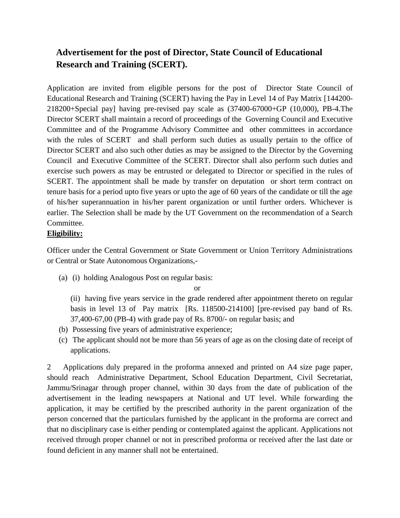# **Advertisement for the post of Director, State Council of Educational Research and Training (SCERT).**

Application are invited from eligible persons for the post of Director State Council of Educational Research and Training (SCERT) having the Pay in Level 14 of Pay Matrix [144200- 218200+Special pay] having pre-revised pay scale as (37400-67000+GP (10,000), PB-4.The Director SCERT shall maintain a record of proceedings of the Governing Council and Executive Committee and of the Programme Advisory Committee and other committees in accordance with the rules of SCERT and shall perform such duties as usually pertain to the office of Director SCERT and also such other duties as may be assigned to the Director by the Governing Council and Executive Committee of the SCERT. Director shall also perform such duties and exercise such powers as may be entrusted or delegated to Director or specified in the rules of SCERT. The appointment shall be made by transfer on deputation or short term contract on tenure basis for a period upto five years or upto the age of 60 years of the candidate or till the age of his/her superannuation in his/her parent organization or until further orders. Whichever is earlier. The Selection shall be made by the UT Government on the recommendation of a Search Committee.

## **Eligibility:**

Officer under the Central Government or State Government or Union Territory Administrations or Central or State Autonomous Organizations,-

(a) (i) holding Analogous Post on regular basis:

or

(ii) having five years service in the grade rendered after appointment thereto on regular basis in level 13 of Pay matrix [Rs. 118500-214100] [pre-revised pay band of Rs. 37,400-67,00 (PB-4) with grade pay of Rs. 8700/- on regular basis; and

- (b) Possessing five years of administrative experience;
- (c) The applicant should not be more than 56 years of age as on the closing date of receipt of applications.

2 Applications duly prepared in the proforma annexed and printed on A4 size page paper, should reach Administrative Department, School Education Department, Civil Secretariat, Jammu/Srinagar through proper channel, within 30 days from the date of publication of the advertisement in the leading newspapers at National and UT level. While forwarding the application, it may be certified by the prescribed authority in the parent organization of the person concerned that the particulars furnished by the applicant in the proforma are correct and that no disciplinary case is either pending or contemplated against the applicant. Applications not received through proper channel or not in prescribed proforma or received after the last date or found deficient in any manner shall not be entertained.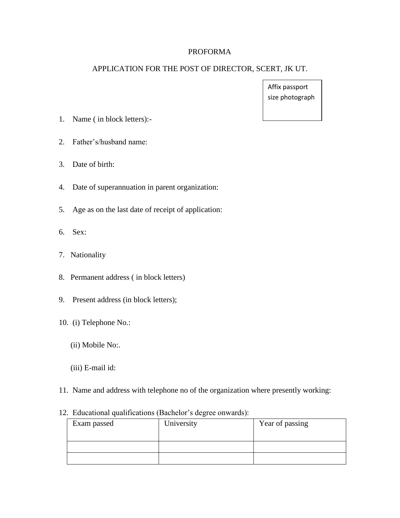#### PROFORMA

#### APPLICATION FOR THE POST OF DIRECTOR, SCERT, JK UT.

Affix passport size photograph

- 1. Name ( in block letters):-
- 2. Father's/husband name:
- 3. Date of birth:
- 4. Date of superannuation in parent organization:
- 5. Age as on the last date of receipt of application:
- 6. Sex:
- 7. Nationality
- 8. Permanent address ( in block letters)
- 9. Present address (in block letters);
- 10. (i) Telephone No.:
	- (ii) Mobile No:.
	- (iii) E-mail id:
- 11. Name and address with telephone no of the organization where presently working:

### 12. Educational qualifications (Bachelor's degree onwards):

| Exam passed | University | Year of passing |
|-------------|------------|-----------------|
|             |            |                 |
|             |            |                 |
|             |            |                 |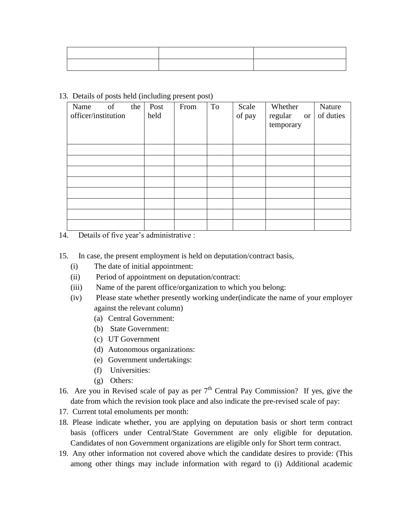|  | 13. Details of posts held (including present post) |  |  |
|--|----------------------------------------------------|--|--|
|  |                                                    |  |  |

| of<br>Name<br>the<br>officer/institution | Post<br>held | From | To | Scale<br>of pay | Whether<br>regular<br><sub>or</sub><br>temporary | Nature<br>of duties |
|------------------------------------------|--------------|------|----|-----------------|--------------------------------------------------|---------------------|
|                                          |              |      |    |                 |                                                  |                     |
|                                          |              |      |    |                 |                                                  |                     |
|                                          |              |      |    |                 |                                                  |                     |
|                                          |              |      |    |                 |                                                  |                     |
|                                          |              |      |    |                 |                                                  |                     |
|                                          |              |      |    |                 |                                                  |                     |
|                                          |              |      |    |                 |                                                  |                     |
|                                          |              |      |    |                 |                                                  |                     |

14. Details of five year's administrative :

- 15. In case, the present employment is held on deputation/contract basis,
	- (i) The date of initial appointment:
	- (ii) Period of appointment on deputation/contract:
	- (iii) Name of the parent office/organization to which you belong:
	- (iv) Please state whether presently working under(indicate the name of your employer against the relevant column)
		- (a) Central Government:
		- (b) State Government:
		- (c) UT Government
		- (d) Autonomous organizations:
		- (e) Government undertakings:
		- (f) Universities:
		- (g) Others:
- 16. Are you in Revised scale of pay as per  $7<sup>th</sup>$  Central Pay Commission? If yes, give the date from which the revision took place and also indicate the pre-revised scale of pay:
- 17. Current total emoluments per month:
- 18. Please indicate whether, you are applying on deputation basis or short term contract basis (officers under Central/State Government are only eligible for deputation. Candidates of non Government organizations are eligible only for Short term contract.
- 19. Any other information not covered above which the candidate desires to provide: (This among other things may include information with regard to (i) Additional academic